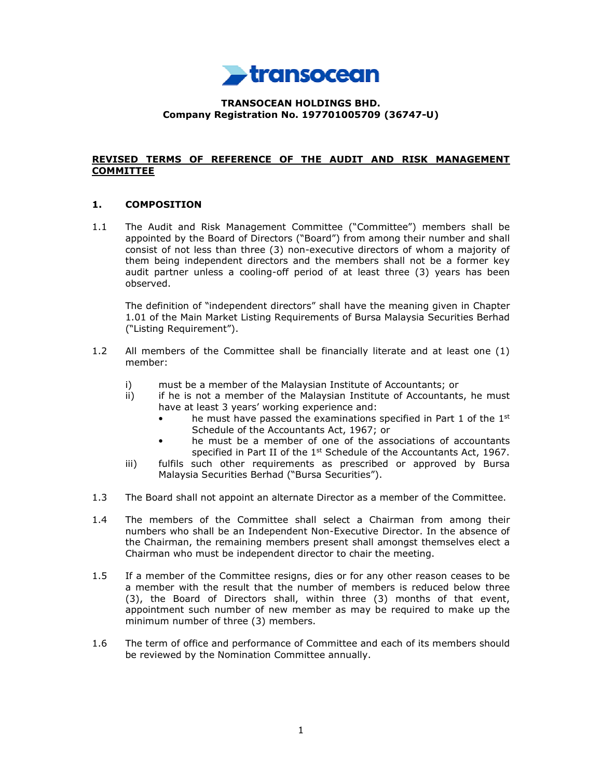

## **TRANSOCEAN HOLDINGS BHD. Company Registration No. 197701005709 (36747-U)**

### **REVISED TERMS OF REFERENCE OF THE AUDIT AND RISK MANAGEMENT COMMITTEE**

## **1. COMPOSITION**

1.1 The Audit and Risk Management Committee ("Committee") members shall be appointed by the Board of Directors ("Board") from among their number and shall consist of not less than three (3) non-executive directors of whom a majority of them being independent directors and the members shall not be a former key audit partner unless a cooling-off period of at least three (3) years has been observed.

The definition of "independent directors" shall have the meaning given in Chapter 1.01 of the Main Market Listing Requirements of Bursa Malaysia Securities Berhad ("Listing Requirement").

- 1.2 All members of the Committee shall be financially literate and at least one (1) member:
	- i) must be a member of the Malaysian Institute of Accountants; or
	- ii) if he is not a member of the Malaysian Institute of Accountants, he must have at least 3 years' working experience and:
		- he must have passed the examinations specified in Part 1 of the  $1<sup>st</sup>$ Schedule of the Accountants Act, 1967; or
		- he must be a member of one of the associations of accountants specified in Part II of the  $1<sup>st</sup>$  Schedule of the Accountants Act, 1967.
	- iii) fulfils such other requirements as prescribed or approved by Bursa Malaysia Securities Berhad ("Bursa Securities").
- 1.3 The Board shall not appoint an alternate Director as a member of the Committee.
- 1.4 The members of the Committee shall select a Chairman from among their numbers who shall be an Independent Non-Executive Director. In the absence of the Chairman, the remaining members present shall amongst themselves elect a Chairman who must be independent director to chair the meeting.
- 1.5 If a member of the Committee resigns, dies or for any other reason ceases to be a member with the result that the number of members is reduced below three (3), the Board of Directors shall, within three (3) months of that event, appointment such number of new member as may be required to make up the minimum number of three (3) members.
- 1.6 The term of office and performance of Committee and each of its members should be reviewed by the Nomination Committee annually.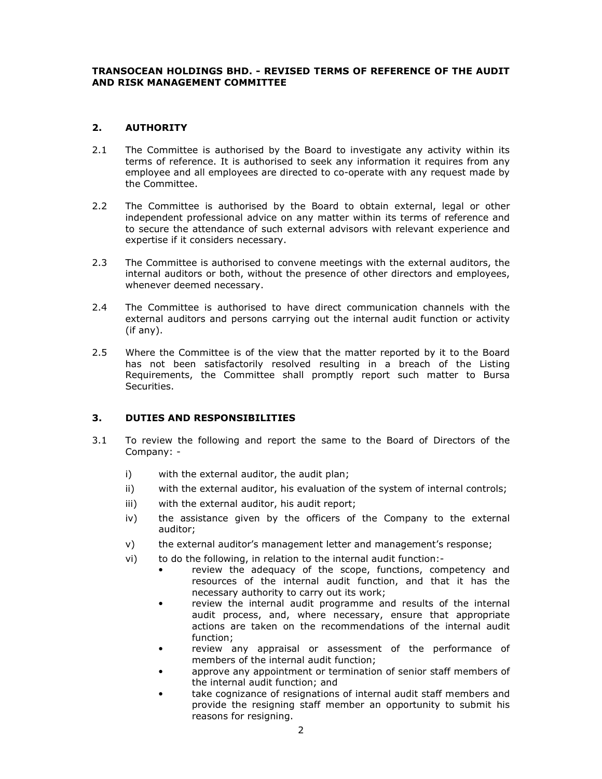### **TRANSOCEAN HOLDINGS BHD. - REVISED TERMS OF REFERENCE OF THE AUDIT AND RISK MANAGEMENT COMMITTEE**

# **2. AUTHORITY**

- 2.1 The Committee is authorised by the Board to investigate any activity within its terms of reference. It is authorised to seek any information it requires from any employee and all employees are directed to co-operate with any request made by the Committee.
- 2.2 The Committee is authorised by the Board to obtain external, legal or other independent professional advice on any matter within its terms of reference and to secure the attendance of such external advisors with relevant experience and expertise if it considers necessary.
- 2.3 The Committee is authorised to convene meetings with the external auditors, the internal auditors or both, without the presence of other directors and employees, whenever deemed necessary.
- 2.4 The Committee is authorised to have direct communication channels with the external auditors and persons carrying out the internal audit function or activity (if any).
- 2.5 Where the Committee is of the view that the matter reported by it to the Board has not been satisfactorily resolved resulting in a breach of the Listing Requirements, the Committee shall promptly report such matter to Bursa Securities.

## **3. DUTIES AND RESPONSIBILITIES**

- 3.1 To review the following and report the same to the Board of Directors of the Company:
	- i) with the external auditor, the audit plan;
	- ii) with the external auditor, his evaluation of the system of internal controls;
	- iii) with the external auditor, his audit report;
	- iv) the assistance given by the officers of the Company to the external auditor;
	- v) the external auditor's management letter and management's response;
	- vi) to do the following, in relation to the internal audit function:
		- review the adequacy of the scope, functions, competency and resources of the internal audit function, and that it has the necessary authority to carry out its work;
		- review the internal audit programme and results of the internal audit process, and, where necessary, ensure that appropriate actions are taken on the recommendations of the internal audit function;
		- review any appraisal or assessment of the performance of members of the internal audit function;
		- approve any appointment or termination of senior staff members of the internal audit function; and
		- take cognizance of resignations of internal audit staff members and provide the resigning staff member an opportunity to submit his reasons for resigning.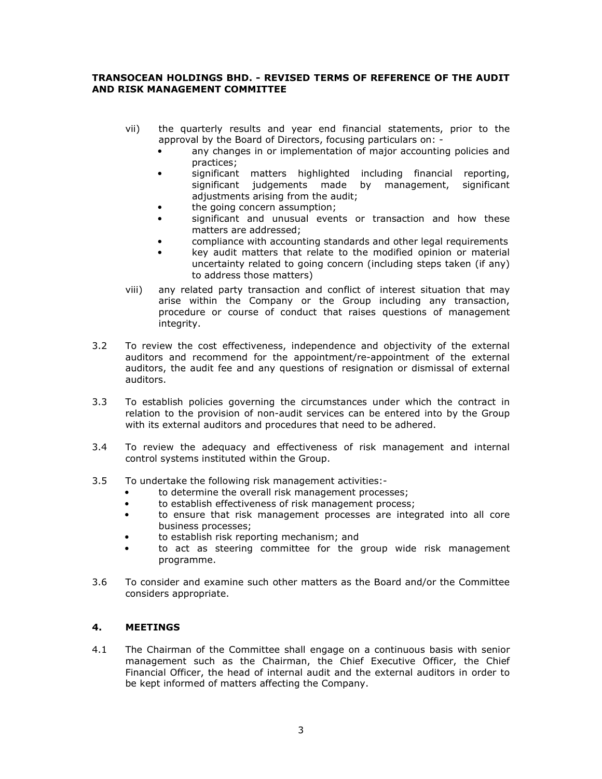## **TRANSOCEAN HOLDINGS BHD. - REVISED TERMS OF REFERENCE OF THE AUDIT AND RISK MANAGEMENT COMMITTEE**

- vii) the quarterly results and year end financial statements, prior to the approval by the Board of Directors, focusing particulars on:
	- any changes in or implementation of major accounting policies and practices;
	- significant matters highlighted including financial reporting, significant judgements made by management, significant adjustments arising from the audit;
	- the going concern assumption;
	- significant and unusual events or transaction and how these matters are addressed;
	- compliance with accounting standards and other legal requirements
	- key audit matters that relate to the modified opinion or material uncertainty related to going concern (including steps taken (if any) to address those matters)
- viii) any related party transaction and conflict of interest situation that may arise within the Company or the Group including any transaction, procedure or course of conduct that raises questions of management integrity.
- 3.2 To review the cost effectiveness, independence and objectivity of the external auditors and recommend for the appointment/re-appointment of the external auditors, the audit fee and any questions of resignation or dismissal of external auditors.
- 3.3 To establish policies governing the circumstances under which the contract in relation to the provision of non-audit services can be entered into by the Group with its external auditors and procedures that need to be adhered.
- 3.4 To review the adequacy and effectiveness of risk management and internal control systems instituted within the Group.
- 3.5 To undertake the following risk management activities:
	- to determine the overall risk management processes;
	- to establish effectiveness of risk management process;
	- to ensure that risk management processes are integrated into all core business processes;
	- to establish risk reporting mechanism; and
	- to act as steering committee for the group wide risk management programme.
- 3.6 To consider and examine such other matters as the Board and/or the Committee considers appropriate.

## **4. MEETINGS**

4.1 The Chairman of the Committee shall engage on a continuous basis with senior management such as the Chairman, the Chief Executive Officer, the Chief Financial Officer, the head of internal audit and the external auditors in order to be kept informed of matters affecting the Company.